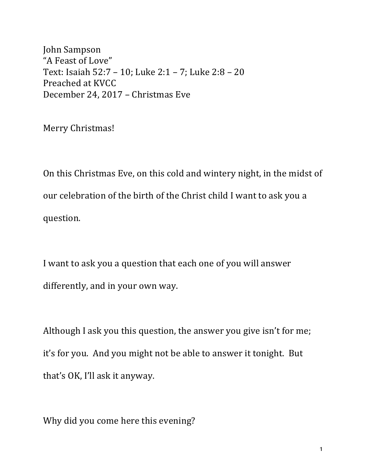John Sampson "A Feast of Love" Text: Isaiah  $52:7 - 10$ ; Luke  $2:1 - 7$ ; Luke  $2:8 - 20$ Preached at KVCC December 24, 2017 - Christmas Eve

Merry Christmas!

On this Christmas Eve, on this cold and wintery night, in the midst of our celebration of the birth of the Christ child I want to ask you a question.

I want to ask you a question that each one of you will answer differently, and in your own way.

Although I ask you this question, the answer you give isn't for me; it's for you. And you might not be able to answer it tonight. But that's OK, I'll ask it anyway.

Why did you come here this evening?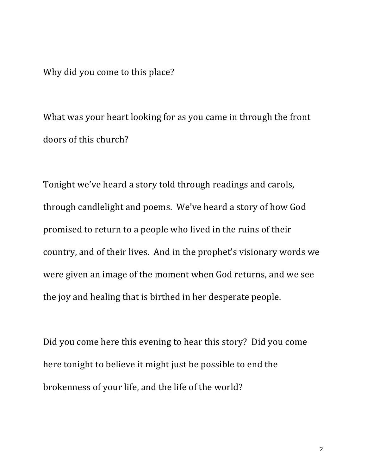Why did you come to this place?

What was your heart looking for as you came in through the front doors of this church?

Tonight we've heard a story told through readings and carols, through candlelight and poems. We've heard a story of how God promised to return to a people who lived in the ruins of their country, and of their lives. And in the prophet's visionary words we were given an image of the moment when God returns, and we see the joy and healing that is birthed in her desperate people.

Did you come here this evening to hear this story? Did you come here tonight to believe it might just be possible to end the brokenness of your life, and the life of the world?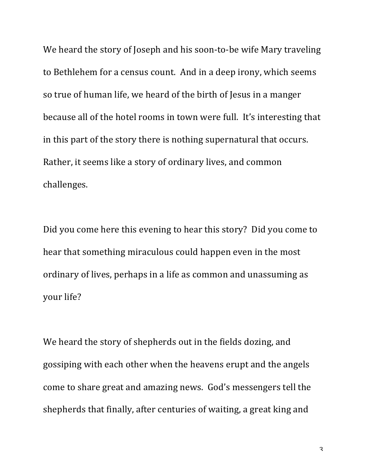We heard the story of Joseph and his soon-to-be wife Mary traveling to Bethlehem for a census count. And in a deep irony, which seems so true of human life, we heard of the birth of Jesus in a manger because all of the hotel rooms in town were full. It's interesting that in this part of the story there is nothing supernatural that occurs. Rather, it seems like a story of ordinary lives, and common challenges.

Did you come here this evening to hear this story? Did you come to hear that something miraculous could happen even in the most ordinary of lives, perhaps in a life as common and unassuming as your life?

We heard the story of shepherds out in the fields dozing, and gossiping with each other when the heavens erupt and the angels come to share great and amazing news. God's messengers tell the shepherds that finally, after centuries of waiting, a great king and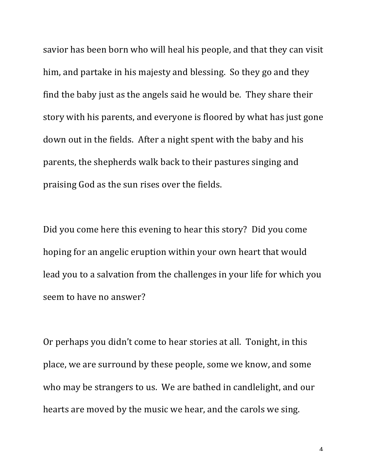savior has been born who will heal his people, and that they can visit him, and partake in his majesty and blessing. So they go and they find the baby just as the angels said he would be. They share their story with his parents, and everyone is floored by what has just gone down out in the fields. After a night spent with the baby and his parents, the shepherds walk back to their pastures singing and praising God as the sun rises over the fields.

Did you come here this evening to hear this story? Did you come hoping for an angelic eruption within your own heart that would lead you to a salvation from the challenges in your life for which you seem to have no answer?

Or perhaps you didn't come to hear stories at all. Tonight, in this place, we are surround by these people, some we know, and some who may be strangers to us. We are bathed in candlelight, and our hearts are moved by the music we hear, and the carols we sing.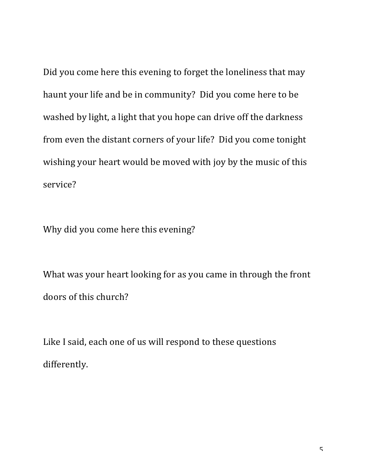Did you come here this evening to forget the loneliness that may haunt your life and be in community? Did you come here to be washed by light, a light that you hope can drive off the darkness from even the distant corners of your life? Did you come tonight wishing your heart would be moved with joy by the music of this service?

Why did you come here this evening?

What was your heart looking for as you came in through the front doors of this church?

Like I said, each one of us will respond to these questions differently.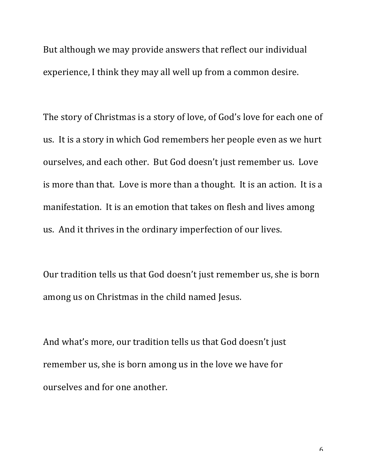But although we may provide answers that reflect our individual experience, I think they may all well up from a common desire.

The story of Christmas is a story of love, of God's love for each one of us. It is a story in which God remembers her people even as we hurt ourselves, and each other. But God doesn't just remember us. Love is more than that. Love is more than a thought. It is an action. It is a manifestation. It is an emotion that takes on flesh and lives among us. And it thrives in the ordinary imperfection of our lives.

Our tradition tells us that God doesn't just remember us, she is born among us on Christmas in the child named Jesus.

And what's more, our tradition tells us that God doesn't just remember us, she is born among us in the love we have for ourselves and for one another.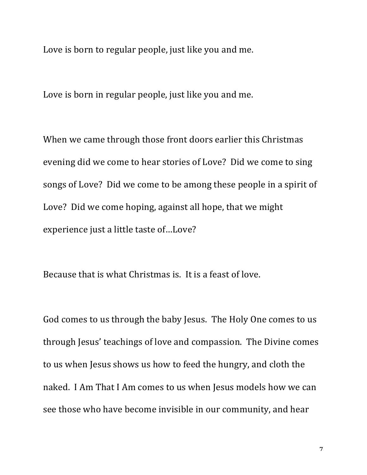Love is born to regular people, just like you and me.

Love is born in regular people, just like you and me.

When we came through those front doors earlier this Christmas evening did we come to hear stories of Love? Did we come to sing songs of Love? Did we come to be among these people in a spirit of Love? Did we come hoping, against all hope, that we might experience just a little taste of...Love?

Because that is what Christmas is. It is a feast of love.

God comes to us through the baby Jesus. The Holy One comes to us through Jesus' teachings of love and compassion. The Divine comes to us when Jesus shows us how to feed the hungry, and cloth the naked. I Am That I Am comes to us when Jesus models how we can see those who have become invisible in our community, and hear